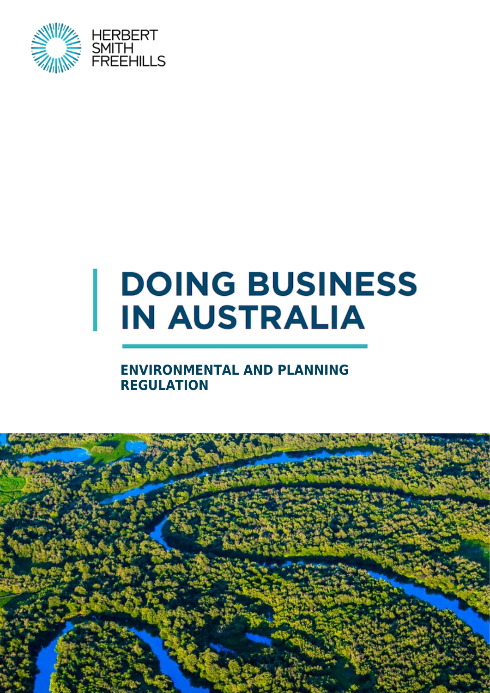

# **DOING BUSINESS IN AUSTRALIA**

#### **ENVIRONMENTAL AND PLANNING REGULATION**

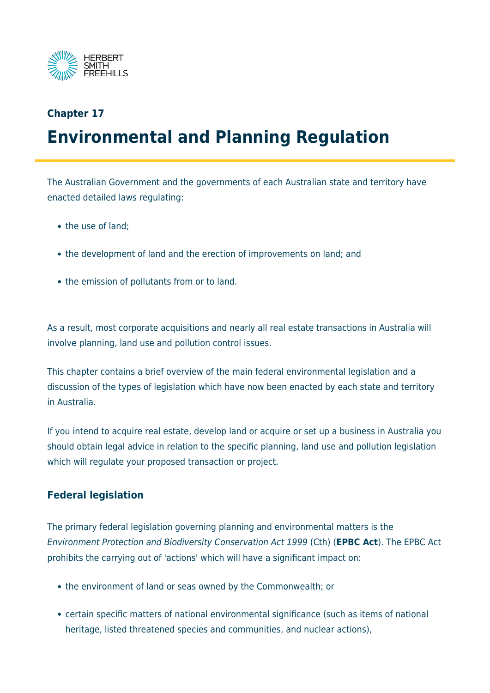

#### **Chapter 17 Environmental and Planning Regulation**

The Australian Government and the governments of each Australian state and territory have enacted detailed laws regulating:

- the use of land:
- the development of land and the erection of improvements on land; and
- the emission of pollutants from or to land.

As a result, most corporate acquisitions and nearly all real estate transactions in Australia will involve planning, land use and pollution control issues.

This chapter contains a brief overview of the main federal environmental legislation and a discussion of the types of legislation which have now been enacted by each state and territory in Australia.

If you intend to acquire real estate, develop land or acquire or set up a business in Australia you should obtain legal advice in relation to the specific planning, land use and pollution legislation which will regulate your proposed transaction or project.

#### **Federal legislation**

The primary federal legislation governing planning and environmental matters is the Environment Protection and Biodiversity Conservation Act 1999 (Cth) (**EPBC Act**). The EPBC Act prohibits the carrying out of 'actions' which will have a significant impact on:

- the environment of land or seas owned by the Commonwealth; or
- certain specific matters of national environmental significance (such as items of national heritage, listed threatened species and communities, and nuclear actions),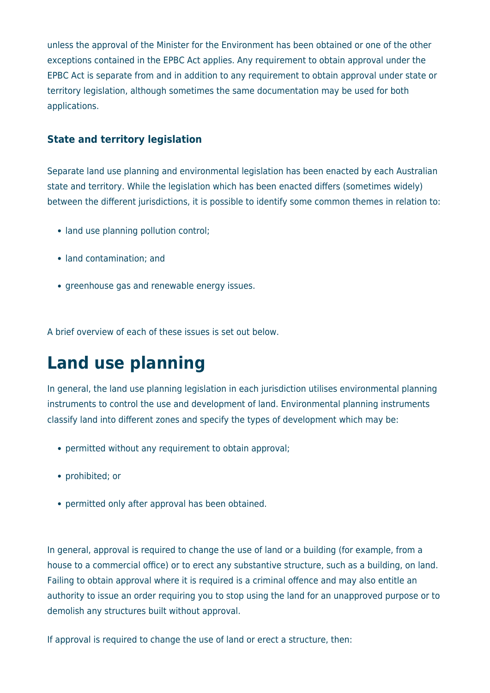unless the approval of the Minister for the Environment has been obtained or one of the other exceptions contained in the EPBC Act applies. Any requirement to obtain approval under the EPBC Act is separate from and in addition to any requirement to obtain approval under state or territory legislation, although sometimes the same documentation may be used for both applications.

#### **State and territory legislation**

Separate land use planning and environmental legislation has been enacted by each Australian state and territory. While the legislation which has been enacted differs (sometimes widely) between the different jurisdictions, it is possible to identify some common themes in relation to:

- land use planning pollution control;
- land contamination; and
- greenhouse gas and renewable energy issues.

A brief overview of each of these issues is set out below.

# **Land use planning**

In general, the land use planning legislation in each jurisdiction utilises environmental planning instruments to control the use and development of land. Environmental planning instruments classify land into different zones and specify the types of development which may be:

- permitted without any requirement to obtain approval;
- prohibited; or
- permitted only after approval has been obtained.

In general, approval is required to change the use of land or a building (for example, from a house to a commercial office) or to erect any substantive structure, such as a building, on land. Failing to obtain approval where it is required is a criminal offence and may also entitle an authority to issue an order requiring you to stop using the land for an unapproved purpose or to demolish any structures built without approval.

If approval is required to change the use of land or erect a structure, then: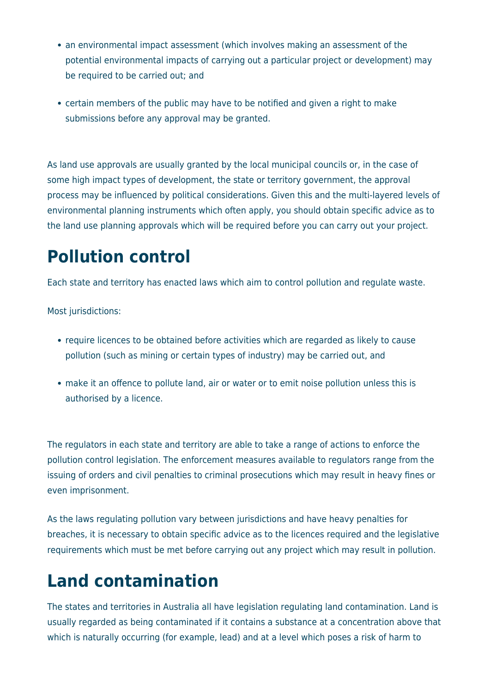- an environmental impact assessment (which involves making an assessment of the potential environmental impacts of carrying out a particular project or development) may be required to be carried out; and
- certain members of the public may have to be notified and given a right to make submissions before any approval may be granted.

As land use approvals are usually granted by the local municipal councils or, in the case of some high impact types of development, the state or territory government, the approval process may be influenced by political considerations. Given this and the multi-layered levels of environmental planning instruments which often apply, you should obtain specific advice as to the land use planning approvals which will be required before you can carry out your project.

## **Pollution control**

Each state and territory has enacted laws which aim to control pollution and regulate waste.

Most jurisdictions:

- require licences to be obtained before activities which are regarded as likely to cause pollution (such as mining or certain types of industry) may be carried out, and
- make it an offence to pollute land, air or water or to emit noise pollution unless this is authorised by a licence.

The regulators in each state and territory are able to take a range of actions to enforce the pollution control legislation. The enforcement measures available to regulators range from the issuing of orders and civil penalties to criminal prosecutions which may result in heavy fines or even imprisonment.

As the laws regulating pollution vary between jurisdictions and have heavy penalties for breaches, it is necessary to obtain specific advice as to the licences required and the legislative requirements which must be met before carrying out any project which may result in pollution.

## **Land contamination**

The states and territories in Australia all have legislation regulating land contamination. Land is usually regarded as being contaminated if it contains a substance at a concentration above that which is naturally occurring (for example, lead) and at a level which poses a risk of harm to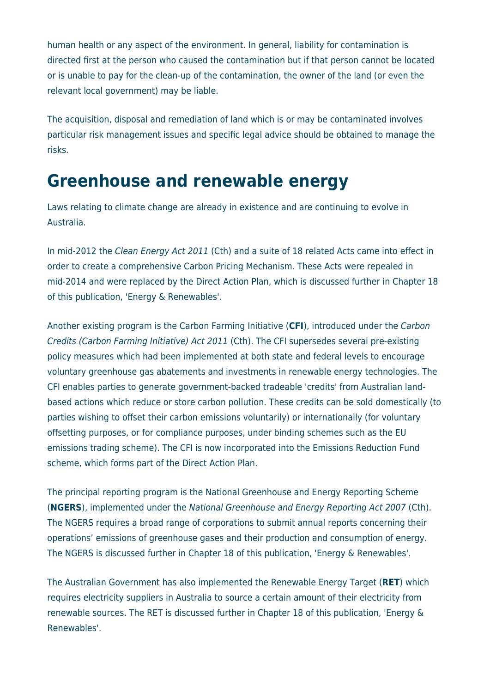human health or any aspect of the environment. In general, liability for contamination is directed first at the person who caused the contamination but if that person cannot be located or is unable to pay for the clean-up of the contamination, the owner of the land (or even the relevant local government) may be liable.

The acquisition, disposal and remediation of land which is or may be contaminated involves particular risk management issues and specific legal advice should be obtained to manage the risks.

#### **Greenhouse and renewable energy**

Laws relating to climate change are already in existence and are continuing to evolve in Australia.

In mid-2012 the Clean Energy Act 2011 (Cth) and a suite of 18 related Acts came into effect in order to create a comprehensive Carbon Pricing Mechanism. These Acts were repealed in mid-2014 and were replaced by the Direct Action Plan, which is discussed further in Chapter 18 of this publication, 'Energy & Renewables'.

Another existing program is the Carbon Farming Initiative (**CFI**), introduced under the Carbon Credits (Carbon Farming Initiative) Act 2011 (Cth). The CFI supersedes several pre-existing policy measures which had been implemented at both state and federal levels to encourage voluntary greenhouse gas abatements and investments in renewable energy technologies. The CFI enables parties to generate government-backed tradeable 'credits' from Australian landbased actions which reduce or store carbon pollution. These credits can be sold domestically (to parties wishing to offset their carbon emissions voluntarily) or internationally (for voluntary offsetting purposes, or for compliance purposes, under binding schemes such as the EU emissions trading scheme). The CFI is now incorporated into the Emissions Reduction Fund scheme, which forms part of the Direct Action Plan.

The principal reporting program is the National Greenhouse and Energy Reporting Scheme (**NGERS**), implemented under the National Greenhouse and Energy Reporting Act 2007 (Cth). The NGERS requires a broad range of corporations to submit annual reports concerning their operations' emissions of greenhouse gases and their production and consumption of energy. The NGERS is discussed further in Chapter 18 of this publication, 'Energy & Renewables'.

The Australian Government has also implemented the Renewable Energy Target (**RET**) which requires electricity suppliers in Australia to source a certain amount of their electricity from renewable sources. The RET is discussed further in Chapter 18 of this publication, 'Energy & Renewables'.